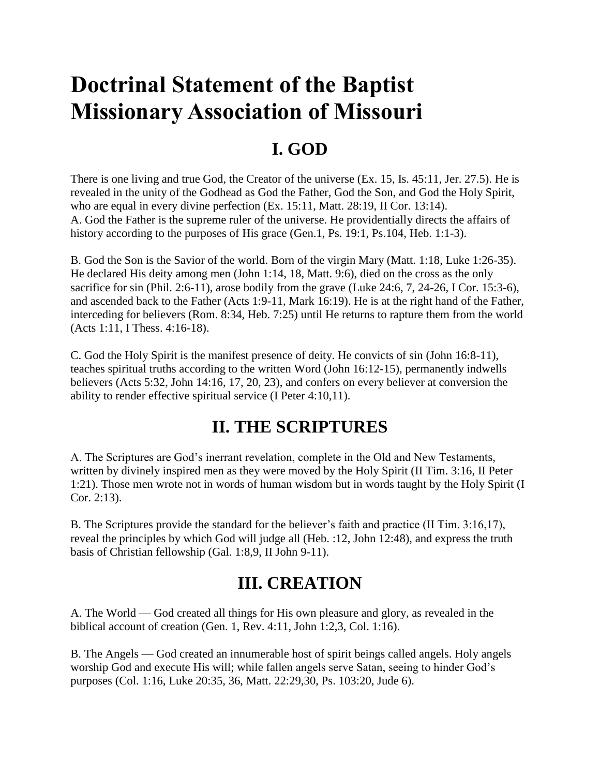# **Doctrinal Statement of the Baptist Missionary Association of Missouri**

### **I. GOD**

There is one living and true God, the Creator of the universe (Ex. 15, Is. 45:11, Jer. 27.5). He is revealed in the unity of the Godhead as God the Father, God the Son, and God the Holy Spirit, who are equal in every divine perfection (Ex. 15:11, Matt. 28:19, II Cor. 13:14). A. God the Father is the supreme ruler of the universe. He providentially directs the affairs of history according to the purposes of His grace (Gen.1, Ps. 19:1, Ps. 104, Heb. 1:1-3).

B. God the Son is the Savior of the world. Born of the virgin Mary (Matt. 1:18, Luke 1:26-35). He declared His deity among men (John 1:14, 18, Matt. 9:6), died on the cross as the only sacrifice for sin (Phil. 2:6-11), arose bodily from the grave (Luke 24:6, 7, 24-26, I Cor. 15:3-6), and ascended back to the Father (Acts 1:9-11, Mark 16:19). He is at the right hand of the Father, interceding for believers (Rom. 8:34, Heb. 7:25) until He returns to rapture them from the world (Acts 1:11, I Thess. 4:16-18).

C. God the Holy Spirit is the manifest presence of deity. He convicts of sin (John 16:8-11), teaches spiritual truths according to the written Word (John 16:12-15), permanently indwells believers (Acts 5:32, John 14:16, 17, 20, 23), and confers on every believer at conversion the ability to render effective spiritual service (I Peter 4:10,11).

#### **II. THE SCRIPTURES**

A. The Scriptures are God's inerrant revelation, complete in the Old and New Testaments, written by divinely inspired men as they were moved by the Holy Spirit (II Tim. 3:16, II Peter 1:21). Those men wrote not in words of human wisdom but in words taught by the Holy Spirit (I Cor. 2:13).

B. The Scriptures provide the standard for the believer's faith and practice (II Tim. 3:16,17), reveal the principles by which God will judge all (Heb. :12, John 12:48), and express the truth basis of Christian fellowship (Gal. 1:8,9, II John 9-11).

## **III. CREATION**

A. The World — God created all things for His own pleasure and glory, as revealed in the biblical account of creation (Gen. 1, Rev. 4:11, John 1:2,3, Col. 1:16).

B. The Angels — God created an innumerable host of spirit beings called angels. Holy angels worship God and execute His will; while fallen angels serve Satan, seeing to hinder God's purposes (Col. 1:16, Luke 20:35, 36, Matt. 22:29,30, Ps. 103:20, Jude 6).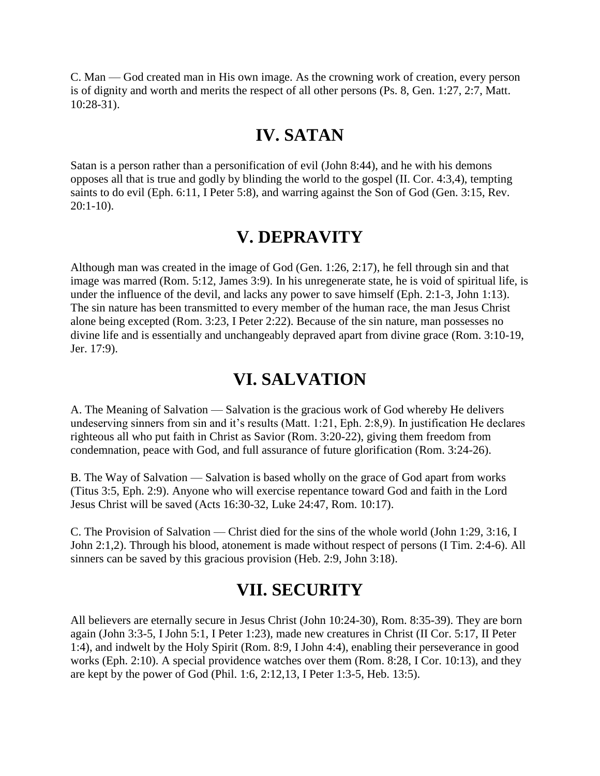C. Man — God created man in His own image. As the crowning work of creation, every person is of dignity and worth and merits the respect of all other persons (Ps. 8, Gen. 1:27, 2:7, Matt. 10:28-31).

#### **IV. SATAN**

Satan is a person rather than a personification of evil (John 8:44), and he with his demons opposes all that is true and godly by blinding the world to the gospel (II. Cor. 4:3,4), tempting saints to do evil (Eph. 6:11, I Peter 5:8), and warring against the Son of God (Gen. 3:15, Rev.  $20:1-10$ ).

#### **V. DEPRAVITY**

Although man was created in the image of God (Gen. 1:26, 2:17), he fell through sin and that image was marred (Rom. 5:12, James 3:9). In his unregenerate state, he is void of spiritual life, is under the influence of the devil, and lacks any power to save himself (Eph. 2:1-3, John 1:13). The sin nature has been transmitted to every member of the human race, the man Jesus Christ alone being excepted (Rom. 3:23, I Peter 2:22). Because of the sin nature, man possesses no divine life and is essentially and unchangeably depraved apart from divine grace (Rom. 3:10-19, Jer. 17:9).

#### **VI. SALVATION**

A. The Meaning of Salvation — Salvation is the gracious work of God whereby He delivers undeserving sinners from sin and it's results (Matt. 1:21, Eph. 2:8,9). In justification He declares righteous all who put faith in Christ as Savior (Rom. 3:20-22), giving them freedom from condemnation, peace with God, and full assurance of future glorification (Rom. 3:24-26).

B. The Way of Salvation — Salvation is based wholly on the grace of God apart from works (Titus 3:5, Eph. 2:9). Anyone who will exercise repentance toward God and faith in the Lord Jesus Christ will be saved (Acts 16:30-32, Luke 24:47, Rom. 10:17).

C. The Provision of Salvation — Christ died for the sins of the whole world (John 1:29, 3:16, I John 2:1,2). Through his blood, atonement is made without respect of persons (I Tim. 2:4-6). All sinners can be saved by this gracious provision (Heb. 2:9, John 3:18).

#### **VII. SECURITY**

All believers are eternally secure in Jesus Christ (John 10:24-30), Rom. 8:35-39). They are born again (John 3:3-5, I John 5:1, I Peter 1:23), made new creatures in Christ (II Cor. 5:17, II Peter 1:4), and indwelt by the Holy Spirit (Rom. 8:9, I John 4:4), enabling their perseverance in good works (Eph. 2:10). A special providence watches over them (Rom. 8:28, I Cor. 10:13), and they are kept by the power of God (Phil. 1:6, 2:12,13, I Peter 1:3-5, Heb. 13:5).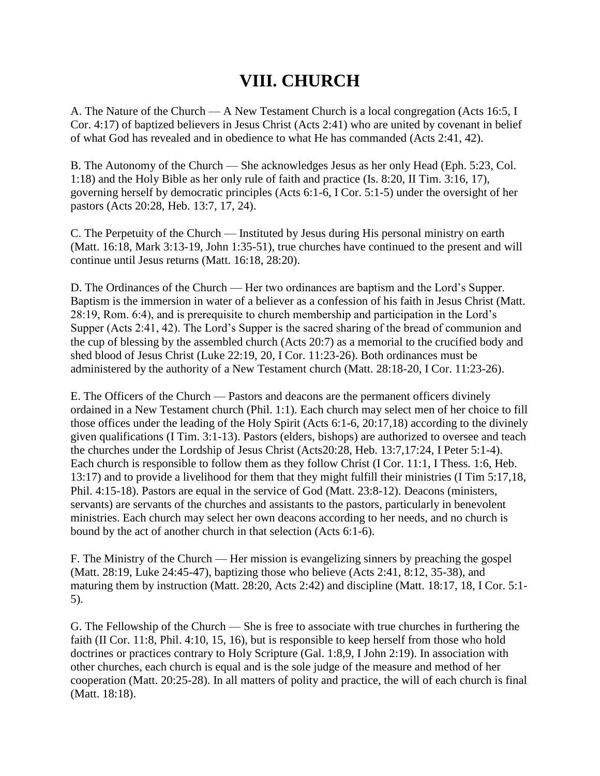## **VIII. CHURCH**

A. The Nature of the Church — A New Testament Church is a local congregation (Acts 16:5, I Cor. 4:17) of baptized believers in Jesus Christ (Acts 2:41) who are united by covenant in belief of what God has revealed and in obedience to what He has commanded (Acts 2:41, 42).

B. The Autonomy of the Church — She acknowledges Jesus as her only Head (Eph. 5:23, Col. 1:18) and the Holy Bible as her only rule of faith and practice (Is. 8:20, II Tim. 3:16, 17), governing herself by democratic principles (Acts 6:1-6, I Cor. 5:1-5) under the oversight of her pastors (Acts 20:28, Heb. 13:7, 17, 24).

C. The Perpetuity of the Church — Instituted by Jesus during His personal ministry on earth (Matt. 16:18, Mark 3:13-19, John 1:35-51), true churches have continued to the present and will continue until Jesus returns (Matt. 16:18, 28:20).

D. The Ordinances of the Church — Her two ordinances are baptism and the Lord's Supper. Baptism is the immersion in water of a believer as a confession of his faith in Jesus Christ (Matt. 28:19, Rom. 6:4), and is prerequisite to church membership and participation in the Lord's Supper (Acts 2:41, 42). The Lord's Supper is the sacred sharing of the bread of communion and the cup of blessing by the assembled church (Acts 20:7) as a memorial to the crucified body and shed blood of Jesus Christ (Luke 22:19, 20, I Cor. 11:23-26). Both ordinances must be administered by the authority of a New Testament church (Matt. 28:18-20, I Cor. 11:23-26).

E. The Officers of the Church — Pastors and deacons are the permanent officers divinely ordained in a New Testament church (Phil. 1:1). Each church may select men of her choice to fill those offices under the leading of the Holy Spirit (Acts 6:1-6, 20:17,18) according to the divinely given qualifications (I Tim. 3:1-13). Pastors (elders, bishops) are authorized to oversee and teach the churches under the Lordship of Jesus Christ (Acts20:28, Heb. 13:7,17:24, I Peter 5:1-4). Each church is responsible to follow them as they follow Christ (I Cor. 11:1, I Thess. 1:6, Heb. 13:17) and to provide a livelihood for them that they might fulfill their ministries (I Tim 5:17,18, Phil. 4:15-18). Pastors are equal in the service of God (Matt. 23:8-12). Deacons (ministers, servants) are servants of the churches and assistants to the pastors, particularly in benevolent ministries. Each church may select her own deacons according to her needs, and no church is bound by the act of another church in that selection (Acts 6:1-6).

F. The Ministry of the Church — Her mission is evangelizing sinners by preaching the gospel (Matt. 28:19, Luke 24:45-47), baptizing those who believe (Acts 2:41, 8:12, 35-38), and maturing them by instruction (Matt. 28:20, Acts 2:42) and discipline (Matt. 18:17, 18, I Cor. 5:1- 5).

G. The Fellowship of the Church — She is free to associate with true churches in furthering the faith (II Cor. 11:8, Phil. 4:10, 15, 16), but is responsible to keep herself from those who hold doctrines or practices contrary to Holy Scripture (Gal. 1:8,9, I John 2:19). In association with other churches, each church is equal and is the sole judge of the measure and method of her cooperation (Matt. 20:25-28). In all matters of polity and practice, the will of each church is final (Matt. 18:18).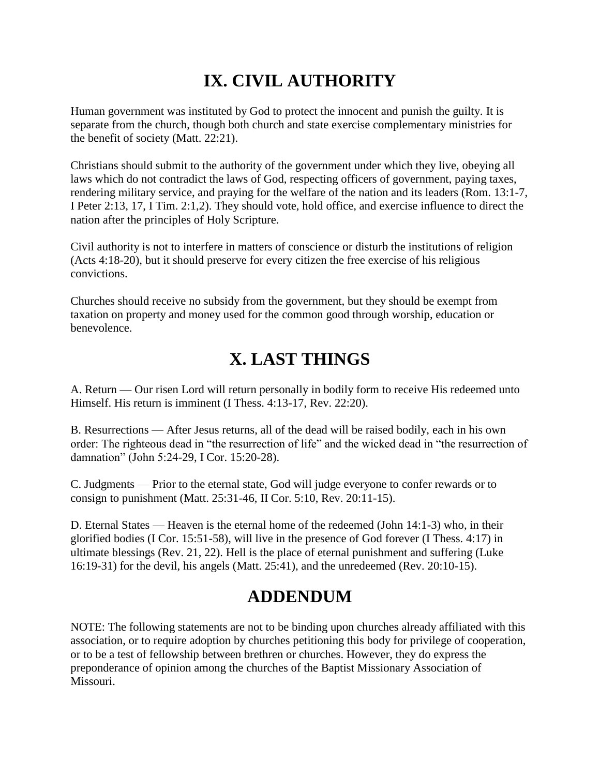## **IX. CIVIL AUTHORITY**

Human government was instituted by God to protect the innocent and punish the guilty. It is separate from the church, though both church and state exercise complementary ministries for the benefit of society (Matt. 22:21).

Christians should submit to the authority of the government under which they live, obeying all laws which do not contradict the laws of God, respecting officers of government, paying taxes, rendering military service, and praying for the welfare of the nation and its leaders (Rom. 13:1-7, I Peter 2:13, 17, I Tim. 2:1,2). They should vote, hold office, and exercise influence to direct the nation after the principles of Holy Scripture.

Civil authority is not to interfere in matters of conscience or disturb the institutions of religion (Acts 4:18-20), but it should preserve for every citizen the free exercise of his religious convictions.

Churches should receive no subsidy from the government, but they should be exempt from taxation on property and money used for the common good through worship, education or benevolence.

## **X. LAST THINGS**

A. Return — Our risen Lord will return personally in bodily form to receive His redeemed unto Himself. His return is imminent (I Thess. 4:13-17, Rev. 22:20).

B. Resurrections — After Jesus returns, all of the dead will be raised bodily, each in his own order: The righteous dead in "the resurrection of life" and the wicked dead in "the resurrection of damnation" (John 5:24-29, I Cor. 15:20-28).

C. Judgments — Prior to the eternal state, God will judge everyone to confer rewards or to consign to punishment (Matt. 25:31-46, II Cor. 5:10, Rev. 20:11-15).

D. Eternal States — Heaven is the eternal home of the redeemed (John 14:1-3) who, in their glorified bodies (I Cor. 15:51-58), will live in the presence of God forever (I Thess. 4:17) in ultimate blessings (Rev. 21, 22). Hell is the place of eternal punishment and suffering (Luke 16:19-31) for the devil, his angels (Matt. 25:41), and the unredeemed (Rev. 20:10-15).

## **ADDENDUM**

NOTE: The following statements are not to be binding upon churches already affiliated with this association, or to require adoption by churches petitioning this body for privilege of cooperation, or to be a test of fellowship between brethren or churches. However, they do express the preponderance of opinion among the churches of the Baptist Missionary Association of Missouri.